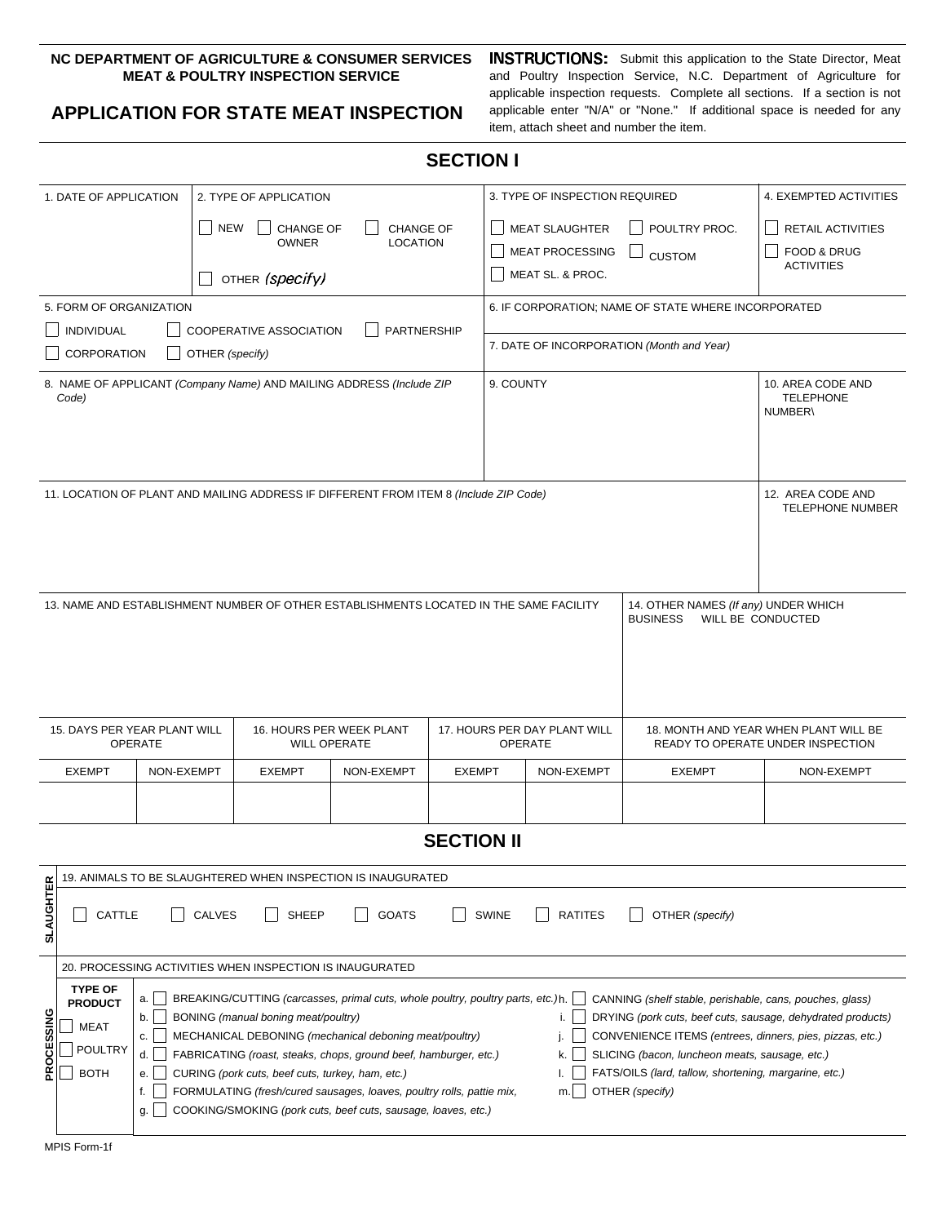## **NC DEPARTMENT OF AGRICULTURE & CONSUMER SERVICES MEAT & POULTRY INSPECTION SERVICE**

## **APPLICATION FOR STATE MEAT INSPECTION**

**INSTRUCTIONS:** Submit this application to the State Director, Meat and Poultry Inspection Service, N.C. Department of Agriculture for applicable inspection requests. Complete all sections. If a section is not applicable enter "N/A" or "None." If additional space is needed for any item, attach sheet and number the item.

## **SECTION I**

|                                                                                                                                                                               | 1. DATE OF APPLICATION<br>2. TYPE OF APPLICATION                                                                                                                                      |                                                                  |                  |                  |               | 3. TYPE OF INSPECTION REQUIRED                                                                                                      | 4. EXEMPTED ACTIVITIES                                                       |                                                  |                                             |  |
|-------------------------------------------------------------------------------------------------------------------------------------------------------------------------------|---------------------------------------------------------------------------------------------------------------------------------------------------------------------------------------|------------------------------------------------------------------|------------------|------------------|---------------|-------------------------------------------------------------------------------------------------------------------------------------|------------------------------------------------------------------------------|--------------------------------------------------|---------------------------------------------|--|
|                                                                                                                                                                               |                                                                                                                                                                                       | <b>NEW</b>                                                       | <b>CHANGE OF</b> | <b>CHANGE OF</b> |               |                                                                                                                                     | <b>MEAT SLAUGHTER</b>                                                        | POULTRY PROC.                                    | RETAIL ACTIVITIES                           |  |
|                                                                                                                                                                               |                                                                                                                                                                                       |                                                                  | <b>OWNER</b>     | <b>LOCATION</b>  |               |                                                                                                                                     | <b>MEAT PROCESSING</b>                                                       | <b>CUSTOM</b>                                    | <b>FOOD &amp; DRUG</b><br><b>ACTIVITIES</b> |  |
|                                                                                                                                                                               |                                                                                                                                                                                       |                                                                  | OTHER (specify)  |                  |               |                                                                                                                                     | MEAT SL. & PROC.                                                             |                                                  |                                             |  |
| 5. FORM OF ORGANIZATION                                                                                                                                                       |                                                                                                                                                                                       |                                                                  |                  |                  |               | 6. IF CORPORATION; NAME OF STATE WHERE INCORPORATED                                                                                 |                                                                              |                                                  |                                             |  |
| <b>PARTNERSHIP</b><br>INDIVIDUAL<br>COOPERATIVE ASSOCIATION                                                                                                                   |                                                                                                                                                                                       |                                                                  |                  |                  |               | 7. DATE OF INCORPORATION (Month and Year)                                                                                           |                                                                              |                                                  |                                             |  |
| CORPORATION<br>OTHER (specify)                                                                                                                                                |                                                                                                                                                                                       |                                                                  |                  |                  |               |                                                                                                                                     |                                                                              |                                                  |                                             |  |
| 8. NAME OF APPLICANT (Company Name) AND MAILING ADDRESS (Include ZIP<br>Code)                                                                                                 |                                                                                                                                                                                       |                                                                  |                  |                  |               |                                                                                                                                     | 9. COUNTY                                                                    | 10. AREA CODE AND<br><b>TELEPHONE</b><br>NUMBER\ |                                             |  |
|                                                                                                                                                                               |                                                                                                                                                                                       |                                                                  |                  |                  |               |                                                                                                                                     |                                                                              |                                                  |                                             |  |
| 11. LOCATION OF PLANT AND MAILING ADDRESS IF DIFFERENT FROM ITEM 8 (Include ZIP Code)<br>12. AREA CODE AND                                                                    |                                                                                                                                                                                       |                                                                  |                  |                  |               |                                                                                                                                     |                                                                              | <b>TELEPHONE NUMBER</b>                          |                                             |  |
|                                                                                                                                                                               |                                                                                                                                                                                       |                                                                  |                  |                  |               |                                                                                                                                     |                                                                              |                                                  |                                             |  |
| 13. NAME AND ESTABLISHMENT NUMBER OF OTHER ESTABLISHMENTS LOCATED IN THE SAME FACILITY                                                                                        |                                                                                                                                                                                       |                                                                  |                  |                  |               |                                                                                                                                     | 14. OTHER NAMES (If any) UNDER WHICH<br><b>BUSINESS</b><br>WILL BE CONDUCTED |                                                  |                                             |  |
|                                                                                                                                                                               |                                                                                                                                                                                       |                                                                  |                  |                  |               |                                                                                                                                     |                                                                              |                                                  |                                             |  |
|                                                                                                                                                                               |                                                                                                                                                                                       |                                                                  |                  |                  |               |                                                                                                                                     |                                                                              |                                                  |                                             |  |
|                                                                                                                                                                               |                                                                                                                                                                                       |                                                                  |                  |                  |               |                                                                                                                                     |                                                                              |                                                  |                                             |  |
| 15. DAYS PER YEAR PLANT WILL<br>16. HOURS PER WEEK PLANT<br><b>OPERATE</b><br><b>WILL OPERATE</b>                                                                             |                                                                                                                                                                                       |                                                                  |                  |                  |               | 17. HOURS PER DAY PLANT WILL<br>18. MONTH AND YEAR WHEN PLANT WILL BE<br><b>OPERATE</b><br>READY TO OPERATE UNDER INSPECTION        |                                                                              |                                                  |                                             |  |
|                                                                                                                                                                               | <b>EXEMPT</b><br>NON-EXEMPT                                                                                                                                                           |                                                                  | <b>EXEMPT</b>    | NON-EXEMPT       | <b>EXEMPT</b> |                                                                                                                                     | NON-EXEMPT                                                                   | <b>EXEMPT</b>                                    | NON-EXEMPT                                  |  |
|                                                                                                                                                                               |                                                                                                                                                                                       |                                                                  |                  |                  |               |                                                                                                                                     |                                                                              |                                                  |                                             |  |
|                                                                                                                                                                               | <b>SECTION II</b>                                                                                                                                                                     |                                                                  |                  |                  |               |                                                                                                                                     |                                                                              |                                                  |                                             |  |
|                                                                                                                                                                               |                                                                                                                                                                                       |                                                                  |                  |                  |               |                                                                                                                                     |                                                                              |                                                  |                                             |  |
|                                                                                                                                                                               | 19. ANIMALS TO BE SLAUGHTERED WHEN INSPECTION IS INAUGURATED                                                                                                                          |                                                                  |                  |                  |               |                                                                                                                                     |                                                                              |                                                  |                                             |  |
| <b>SLAUGHTER</b>                                                                                                                                                              | CATTLE                                                                                                                                                                                | CALVES                                                           | SHEEP            | <b>GOATS</b>     |               | SWINE                                                                                                                               | <b>RATITES</b>                                                               | OTHER (specify)                                  |                                             |  |
|                                                                                                                                                                               | 20. PROCESSING ACTIVITIES WHEN INSPECTION IS INAUGURATED                                                                                                                              |                                                                  |                  |                  |               |                                                                                                                                     |                                                                              |                                                  |                                             |  |
|                                                                                                                                                                               | <b>TYPE OF</b><br>BREAKING/CUTTING (carcasses, primal cuts, whole poultry, poultry parts, etc.)h.<br>CANNING (shelf stable, perishable, cans, pouches, glass)<br>a.<br><b>PRODUCT</b> |                                                                  |                  |                  |               |                                                                                                                                     |                                                                              |                                                  |                                             |  |
|                                                                                                                                                                               | BONING (manual boning meat/poultry)<br>b.<br><b>MEAT</b><br>MECHANICAL DEBONING (mechanical deboning meat/poultry)<br>C.                                                              |                                                                  |                  |                  |               | DRYING (pork cuts, beef cuts, sausage, dehydrated products)<br>i.<br>CONVENIENCE ITEMS (entrees, dinners, pies, pizzas, etc.)<br>j. |                                                                              |                                                  |                                             |  |
| PROCESSING                                                                                                                                                                    | POULTRY<br>d.                                                                                                                                                                         | FABRICATING (roast, steaks, chops, ground beef, hamburger, etc.) |                  |                  |               |                                                                                                                                     | SLICING (bacon, luncheon meats, sausage, etc.)<br>k.                         |                                                  |                                             |  |
| <b>BOTH</b><br>CURING (pork cuts, beef cuts, turkey, ham, etc.)<br>е.<br>FORMULATING (fresh/cured sausages, loaves, poultry rolls, pattie mix,<br>OTHER (specify)<br>f.<br>m. |                                                                                                                                                                                       |                                                                  |                  |                  |               |                                                                                                                                     | FATS/OILS (lard, tallow, shortening, margarine, etc.)                        |                                                  |                                             |  |
| COOKING/SMOKING (pork cuts, beef cuts, sausage, loaves, etc.)<br>g.                                                                                                           |                                                                                                                                                                                       |                                                                  |                  |                  |               |                                                                                                                                     |                                                                              |                                                  |                                             |  |